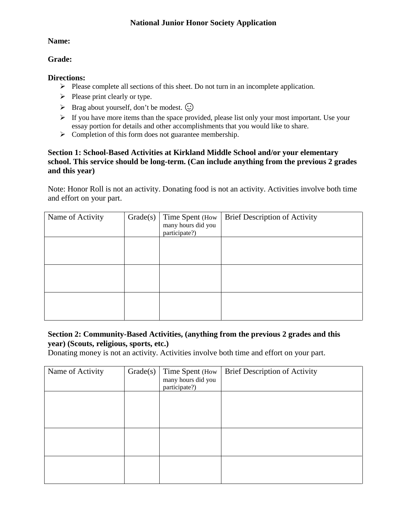## **National Junior Honor Society Application**

### **Name:**

### **Grade:**

#### **Directions:**

- $\triangleright$  Please complete all sections of this sheet. Do not turn in an incomplete application.
- $\triangleright$  Please print clearly or type.
- $\triangleright$  Brag about yourself, don't be modest.  $\odot$
- $\triangleright$  If you have more items than the space provided, please list only your most important. Use your essay portion for details and other accomplishments that you would like to share.
- $\triangleright$  Completion of this form does not guarantee membership.

## **Section 1: School-Based Activities at Kirkland Middle School and/or your elementary school. This service should be long-term. (Can include anything from the previous 2 grades and this year)**

Note: Honor Roll is not an activity. Donating food is not an activity. Activities involve both time and effort on your part.

| Name of Activity | Grade(s) | Time Spent (How<br>many hours did you<br>participate?) | <b>Brief Description of Activity</b> |
|------------------|----------|--------------------------------------------------------|--------------------------------------|
|                  |          |                                                        |                                      |
|                  |          |                                                        |                                      |
|                  |          |                                                        |                                      |

## **Section 2: Community-Based Activities, (anything from the previous 2 grades and this year) (Scouts, religious, sports, etc.)**

Donating money is not an activity. Activities involve both time and effort on your part.

| Name of Activity | Grade(s) | Time Spent (How<br>many hours did you<br>participate?) | <b>Brief Description of Activity</b> |
|------------------|----------|--------------------------------------------------------|--------------------------------------|
|                  |          |                                                        |                                      |
|                  |          |                                                        |                                      |
|                  |          |                                                        |                                      |
|                  |          |                                                        |                                      |